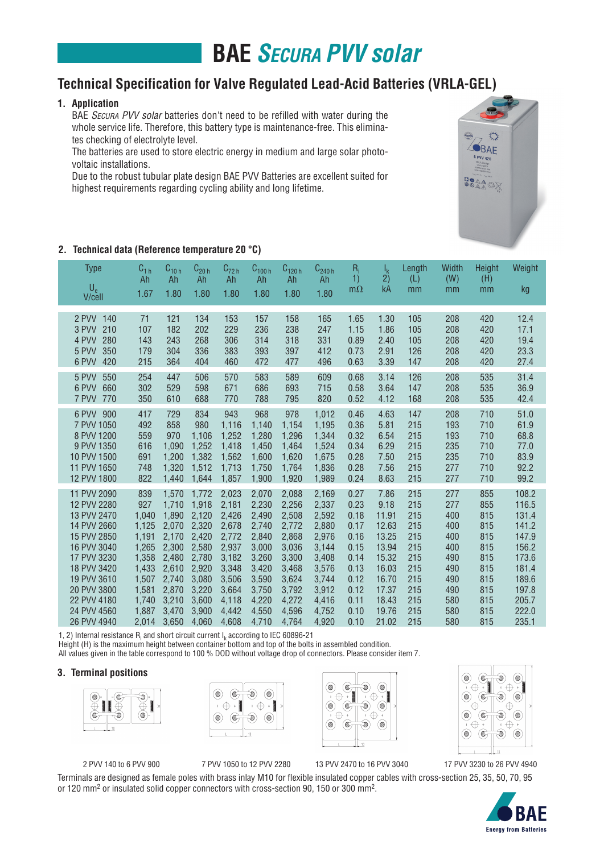# **BAE** *Secura PVV solar*

### **Technical Specification for Valve Regulated Lead-Acid Batteries (VRLA-GEL)**

### **1. Application**

BAE SECURA PVV solar batteries don't need to be refilled with water during the whole service life. Therefore, this battery type is maintenance-free. This eliminates checking of electrolyte level.

 The batteries are used to store electric energy in medium and large solar photovoltaic installations.

 Due to the robust tubular plate design BAE PVV Batteries are excellent suited for highest requirements regarding cycling ability and long lifetime.



| <b>Type</b><br>$U_{e}$<br>V/cell                                                                                                                                                                | $C_{1 h}$<br>Ah<br>1.67                                                                                       | $C_{10h}$<br>Ah<br>1.80                                                                                           | $C_{20h}$<br>Ah<br>1.80                                                                                           | $\mathsf{C}_{72\,\mathsf{h}}$<br>Ah<br>1.80                                                                       | $C_{100h}$<br>Ah<br>1.80                                                                                          | $C_{120h}$<br>Ah<br>1.80                                                                                          | $C_{240h}$<br>Ah<br>1.80                                                                                          | $R_i$<br>1)<br>$m\Omega$                                                                             | $I_{k}$<br>2)<br>kA                                                                                             | Length<br>(L)<br>mm                                                                     | Width<br>(W)<br>mm                                                                      | Height<br>(H)<br>mm                                                                     | Weight<br>kg                                                                                                      |
|-------------------------------------------------------------------------------------------------------------------------------------------------------------------------------------------------|---------------------------------------------------------------------------------------------------------------|-------------------------------------------------------------------------------------------------------------------|-------------------------------------------------------------------------------------------------------------------|-------------------------------------------------------------------------------------------------------------------|-------------------------------------------------------------------------------------------------------------------|-------------------------------------------------------------------------------------------------------------------|-------------------------------------------------------------------------------------------------------------------|------------------------------------------------------------------------------------------------------|-----------------------------------------------------------------------------------------------------------------|-----------------------------------------------------------------------------------------|-----------------------------------------------------------------------------------------|-----------------------------------------------------------------------------------------|-------------------------------------------------------------------------------------------------------------------|
| 2 PVV<br>140<br>210<br>3 PVV<br>4 PVV<br>280<br>350<br>5 PVV<br>6 PVV<br>420                                                                                                                    | 71<br>107<br>143<br>179<br>215                                                                                | 121<br>182<br>243<br>304<br>364                                                                                   | 134<br>202<br>268<br>336<br>404                                                                                   | 153<br>229<br>306<br>383<br>460                                                                                   | 157<br>236<br>314<br>393<br>472                                                                                   | 158<br>238<br>318<br>397<br>477                                                                                   | 165<br>247<br>331<br>412<br>496                                                                                   | 1.65<br>1.15<br>0.89<br>0.73<br>0.63                                                                 | 1.30<br>1.86<br>2.40<br>2.91<br>3.39                                                                            | 105<br>105<br>105<br>126<br>147                                                         | 208<br>208<br>208<br>208<br>208                                                         | 420<br>420<br>420<br>420<br>420                                                         | 12.4<br>17.1<br>19.4<br>23.3<br>27.4                                                                              |
| 5 PVV<br>550<br>6 PVV<br>660<br>7 PVV<br>770                                                                                                                                                    | 254<br>302<br>350                                                                                             | 447<br>529<br>610                                                                                                 | 506<br>598<br>688                                                                                                 | 570<br>671<br>770                                                                                                 | 583<br>686<br>788                                                                                                 | 589<br>693<br>795                                                                                                 | 609<br>715<br>820                                                                                                 | 0.68<br>0.58<br>0.52                                                                                 | 3.14<br>3.64<br>4.12                                                                                            | 126<br>147<br>168                                                                       | 208<br>208<br>208                                                                       | 535<br>535<br>535                                                                       | 31.4<br>36.9<br>42.4                                                                                              |
| 900<br>6 PVV<br>7 PVV 1050<br>8 PVV 1200<br>9 PVV 1350<br>10 PVV 1500<br>11 PVV 1650<br>12 PVV 1800                                                                                             | 417<br>492<br>559<br>616<br>691<br>748<br>822                                                                 | 729<br>858<br>970<br>1.090<br>1,200<br>1,320<br>1.440                                                             | 834<br>980<br>1,106<br>1,252<br>1,382<br>1,512<br>1.644                                                           | 943<br>1,116<br>1,252<br>1,418<br>1,562<br>1,713<br>1,857                                                         | 968<br>1,140<br>1.280<br>1.450<br>1,600<br>1,750<br>1,900                                                         | 978<br>1,154<br>1,296<br>1.464<br>1,620<br>1,764<br>1.920                                                         | 1,012<br>1,195<br>1.344<br>1,524<br>1,675<br>1,836<br>1,989                                                       | 0.46<br>0.36<br>0.32<br>0.34<br>0.28<br>0.28<br>0.24                                                 | 4.63<br>5.81<br>6.54<br>6.29<br>7.50<br>7.56<br>8.63                                                            | 147<br>215<br>215<br>215<br>215<br>215<br>215                                           | 208<br>193<br>193<br>235<br>235<br>277<br>277                                           | 710<br>710<br>710<br>710<br>710<br>710<br>710                                           | 51.0<br>61.9<br>68.8<br>77.0<br>83.9<br>92.2<br>99.2                                                              |
| 11 PVV 2090<br>12 PVV 2280<br>13 PVV 2470<br>14 PVV 2660<br>15 PVV 2850<br>16 PVV 3040<br>17 PVV 3230<br>18 PVV 3420<br>19 PVV 3610<br>20 PVV 3800<br>22 PVV 4180<br>24 PVV 4560<br>26 PVV 4940 | 839<br>927<br>1,040<br>1,125<br>1,191<br>1,265<br>1,358<br>1,433<br>1,507<br>1,581<br>1,740<br>1,887<br>2,014 | 1,570<br>1,710<br>1,890<br>2.070<br>2,170<br>2,300<br>2,480<br>2,610<br>2,740<br>2,870<br>3,210<br>3.470<br>3,650 | 1.772<br>1,918<br>2,120<br>2.320<br>2,420<br>2,580<br>2,780<br>2,920<br>3,080<br>3,220<br>3,600<br>3.900<br>4,060 | 2,023<br>2,181<br>2,426<br>2,678<br>2,772<br>2,937<br>3,182<br>3,348<br>3,506<br>3,664<br>4,118<br>4,442<br>4,608 | 2,070<br>2,230<br>2,490<br>2.740<br>2,840<br>3,000<br>3,260<br>3,420<br>3,590<br>3,750<br>4,220<br>4,550<br>4,710 | 2,088<br>2,256<br>2,508<br>2.772<br>2,868<br>3,036<br>3,300<br>3,468<br>3,624<br>3,792<br>4,272<br>4,596<br>4,764 | 2,169<br>2,337<br>2,592<br>2.880<br>2,976<br>3,144<br>3,408<br>3,576<br>3,744<br>3,912<br>4,416<br>4,752<br>4,920 | 0.27<br>0.23<br>0.18<br>0.17<br>0.16<br>0.15<br>0.14<br>0.13<br>0.12<br>0.12<br>0.11<br>0.10<br>0.10 | 7.86<br>9.18<br>11.91<br>12.63<br>13.25<br>13.94<br>15.32<br>16.03<br>16.70<br>17.37<br>18.43<br>19.76<br>21.02 | 215<br>215<br>215<br>215<br>215<br>215<br>215<br>215<br>215<br>215<br>215<br>215<br>215 | 277<br>277<br>400<br>400<br>400<br>400<br>490<br>490<br>490<br>490<br>580<br>580<br>580 | 855<br>855<br>815<br>815<br>815<br>815<br>815<br>815<br>815<br>815<br>815<br>815<br>815 | 108.2<br>116.5<br>131.4<br>141.2<br>147.9<br>156.2<br>173.6<br>181.4<br>189.6<br>197.8<br>205.7<br>222.0<br>235.1 |

1, 2) Internal resistance  $R_i$  and short circuit current  $I_k$  according to IEC 60896-21

Height (H) is the maximum height between container bottom and top of the bolts in assembled condition.

All values given in the table correspond to 100 % DOD without voltage drop of connectors. Please consider item 7.

#### **3. Terminal positions**









 2 PVV 140 to 6 PVV 900 7 PVV 1050 to 12 PVV 2280 13 PVV 2470 to 16 PVV 3040 17 PVV 3230 to 26 PVV 4940

Terminals are designed as female poles with brass inlay M10 for flexible insulated copper cables with cross-section 25, 35, 50, 70, 95 or 120 mm2 or insulated solid copper connectors with cross-section 90, 150 or 300 mm2.